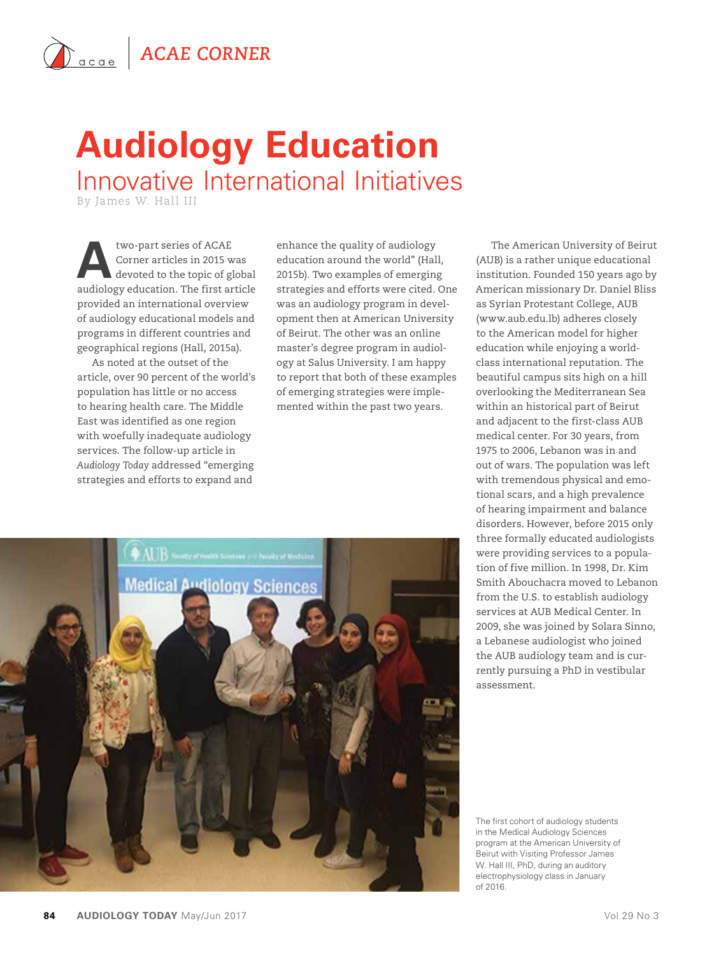## **Audiology Education** Innovative International Initiatives

By James W. Hall III

two-part series of ACAE<br>
Corner articles in 2015 w<br>
devoted to the topic of gl Corner articles in 2015 was devoted to the topic of global audiology education. The first article provided an international overview of audiology educational models and programs in different countries and geographical regions (Hall, 2015a).

As noted at the outset of the article, over 90 percent of the world's population has little or no access to hearing health care. The Middle East was identified as one region with woefully inadequate audiology services. The follow-up article in *Audiology Today* addressed "emerging strategies and efforts to expand and

enhance the quality of audiology education around the world" (Hall, 2015b). Two examples of emerging strategies and efforts were cited. One was an audiology program in development then at American University of Beirut. The other was an online master's degree program in audiology at Salus University. I am happy to report that both of these examples of emerging strategies were implemented within the past two years.



The American University of Beirut (AUB) is a rather unique educational institution. Founded 150 years ago by American missionary Dr. Daniel Bliss as Syrian Protestant College, AUB (www.aub.edu.lb) adheres closely to the American model for higher education while enjoying a worldclass international reputation. The beautiful campus sits high on a hill overlooking the Mediterranean Sea within an historical part of Beirut and adjacent to the first-class AUB medical center. For 30 years, from 1975 to 2006, Lebanon was in and out of wars. The population was left with tremendous physical and emotional scars, and a high prevalence of hearing impairment and balance disorders. However, before 2015 only three formally educated audiologists were providing services to a population of five million. In 1998, Dr. Kim Smith Abouchacra moved to Lebanon from the U.S. to establish audiology services at AUB Medical Center. In 2009, she was joined by Solara Sinno, a Lebanese audiologist who joined the AUB audiology team and is currently pursuing a PhD in vestibular assessment.

The first cohort of audiology students in the Medical Audiology Sciences program at the American University of Beirut with Visiting Professor James W. Hall III, PhD, during an auditory electrophysiology class in January of 2016.